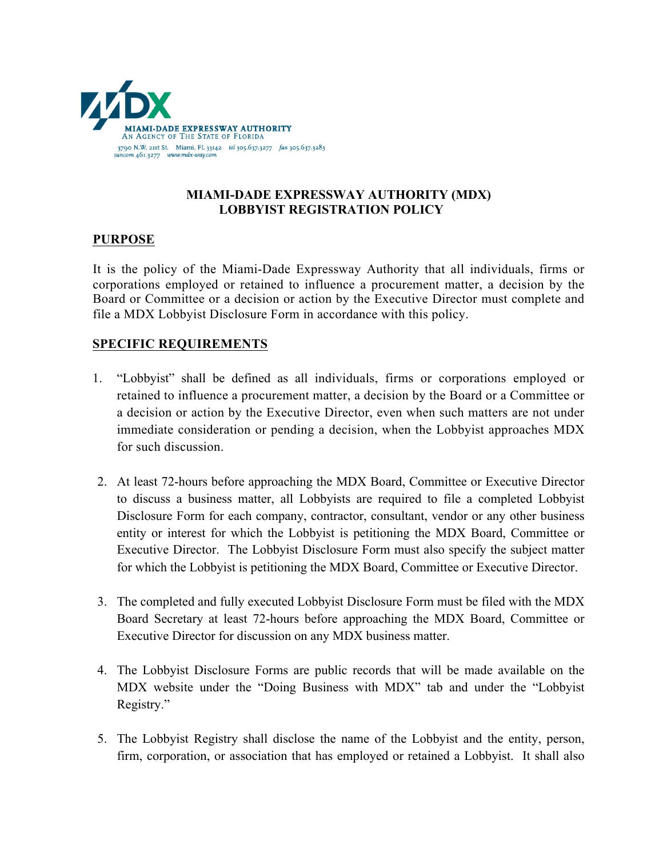

## **MIAMI-DADE EXPRESSWAY AUTHORITY (MDX) LOBBYIST REGISTRATION POLICY**

## **PURPOSE**

It is the policy of the Miami-Dade Expressway Authority that all individuals, firms or corporations employed or retained to influence a procurement matter, a decision by the Board or Committee or a decision or action by the Executive Director must complete and file a MDX Lobbyist Disclosure Form in accordance with this policy.

## **SPECIFIC REQUIREMENTS**

- 1. "Lobbyist" shall be defined as all individuals, firms or corporations employed or retained to influence a procurement matter, a decision by the Board or a Committee or a decision or action by the Executive Director, even when such matters are not under immediate consideration or pending a decision, when the Lobbyist approaches MDX for such discussion.
- 2. At least 72-hours before approaching the MDX Board, Committee or Executive Director to discuss a business matter, all Lobbyists are required to file a completed Lobbyist Disclosure Form for each company, contractor, consultant, vendor or any other business entity or interest for which the Lobbyist is petitioning the MDX Board, Committee or Executive Director. The Lobbyist Disclosure Form must also specify the subject matter for which the Lobbyist is petitioning the MDX Board, Committee or Executive Director.
- 3. The completed and fully executed Lobbyist Disclosure Form must be filed with the MDX Board Secretary at least 72-hours before approaching the MDX Board, Committee or Executive Director for discussion on any MDX business matter.
- 4. The Lobbyist Disclosure Forms are public records that will be made available on the MDX website under the "Doing Business with MDX" tab and under the "Lobbyist Registry."
- 5. The Lobbyist Registry shall disclose the name of the Lobbyist and the entity, person, firm, corporation, or association that has employed or retained a Lobbyist. It shall also